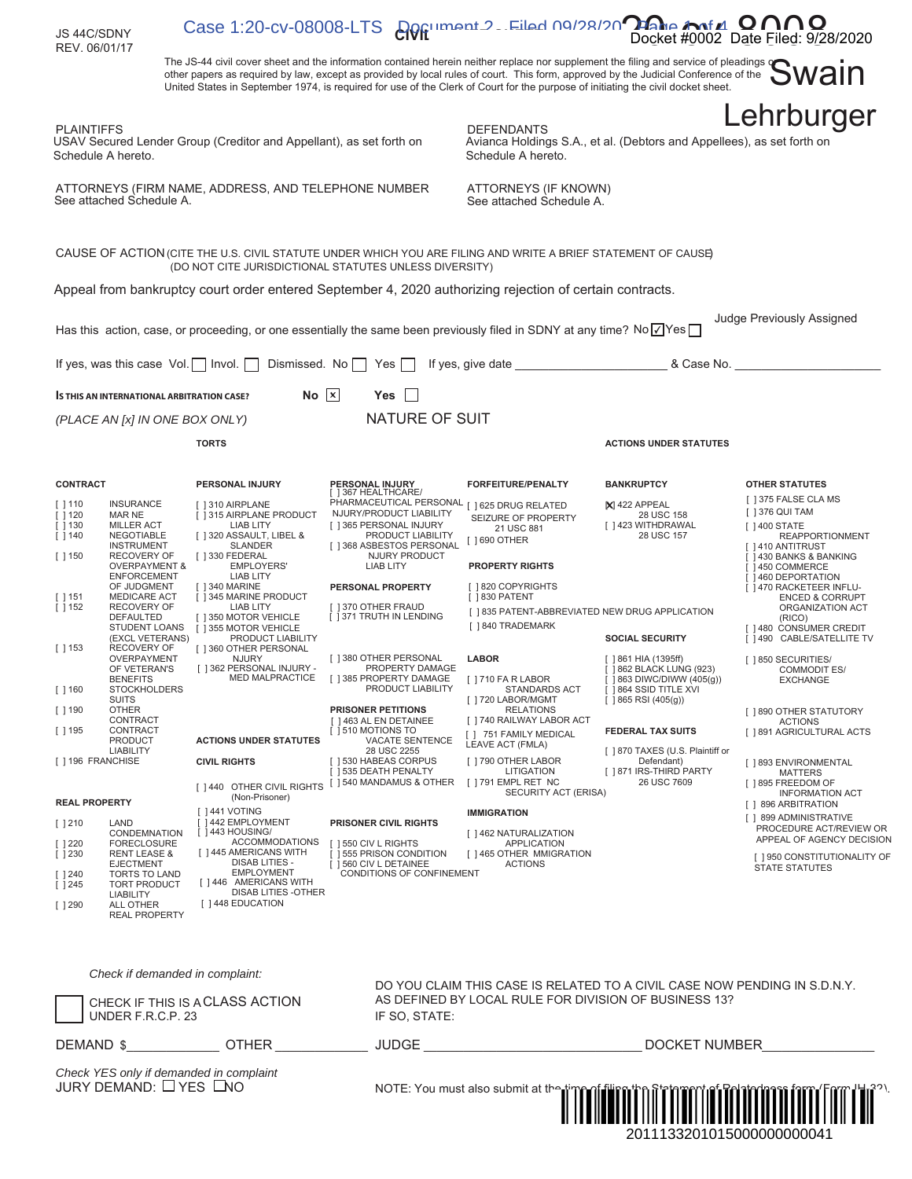| JS 44C/SDNY<br>REV. 06/01/17                                                                                                                                                                                                                                                                                                                                                                                    | Case 1:20-CV-08008-LTS and many Filed 00/28/20 and money Data Ellest 0.                                                                                                                                                                                                                                                                                                                                       |                                                                                                                                                                                                                                                                                                                 |                                                                                                                                                                                                      |                                                                                                                                                                                            | Docket #0002 Date Filed: 9/28/2020                                                                                                                                                                                                                                                          |
|-----------------------------------------------------------------------------------------------------------------------------------------------------------------------------------------------------------------------------------------------------------------------------------------------------------------------------------------------------------------------------------------------------------------|---------------------------------------------------------------------------------------------------------------------------------------------------------------------------------------------------------------------------------------------------------------------------------------------------------------------------------------------------------------------------------------------------------------|-----------------------------------------------------------------------------------------------------------------------------------------------------------------------------------------------------------------------------------------------------------------------------------------------------------------|------------------------------------------------------------------------------------------------------------------------------------------------------------------------------------------------------|--------------------------------------------------------------------------------------------------------------------------------------------------------------------------------------------|---------------------------------------------------------------------------------------------------------------------------------------------------------------------------------------------------------------------------------------------------------------------------------------------|
|                                                                                                                                                                                                                                                                                                                                                                                                                 | The JS-44 civil cover sheet and the information contained herein neither replace nor supplement the filing and service of pleadings<br>other papers as required by law, except as provided by local rules of court. This form, approved by the Judicial Conference of the<br>United States in September 1974, is required for use of the Clerk of Court for the purpose of initiating the civil docket sheet. |                                                                                                                                                                                                                                                                                                                 |                                                                                                                                                                                                      |                                                                                                                                                                                            | iwain                                                                                                                                                                                                                                                                                       |
| <b>PLAINTIFFS</b><br>Schedule A hereto.                                                                                                                                                                                                                                                                                                                                                                         | USAV Secured Lender Group (Creditor and Appellant), as set forth on                                                                                                                                                                                                                                                                                                                                           |                                                                                                                                                                                                                                                                                                                 | <b>DEFENDANTS</b><br>Avianca Holdings S.A., et al. (Debtors and Appellees), as set forth on<br>Schedule A hereto.                                                                                    |                                                                                                                                                                                            | Lehrburger                                                                                                                                                                                                                                                                                  |
| See attached Schedule A.                                                                                                                                                                                                                                                                                                                                                                                        | ATTORNEYS (FIRM NAME, ADDRESS, AND TELEPHONE NUMBER                                                                                                                                                                                                                                                                                                                                                           |                                                                                                                                                                                                                                                                                                                 | ATTORNEYS (IF KNOWN)<br>See attached Schedule A.                                                                                                                                                     |                                                                                                                                                                                            |                                                                                                                                                                                                                                                                                             |
|                                                                                                                                                                                                                                                                                                                                                                                                                 | CAUSE OF ACTION (CITE THE U.S. CIVIL STATUTE UNDER WHICH YOU ARE FILING AND WRITE A BRIEF STATEMENT OF CAUSE)<br>(DO NOT CITE JURISDICTIONAL STATUTES UNLESS DIVERSITY)                                                                                                                                                                                                                                       |                                                                                                                                                                                                                                                                                                                 |                                                                                                                                                                                                      |                                                                                                                                                                                            |                                                                                                                                                                                                                                                                                             |
|                                                                                                                                                                                                                                                                                                                                                                                                                 | Appeal from bankruptcy court order entered September 4, 2020 authorizing rejection of certain contracts.                                                                                                                                                                                                                                                                                                      |                                                                                                                                                                                                                                                                                                                 |                                                                                                                                                                                                      |                                                                                                                                                                                            |                                                                                                                                                                                                                                                                                             |
|                                                                                                                                                                                                                                                                                                                                                                                                                 | Has this action, case, or proceeding, or one essentially the same been previously filed in SDNY at any time? No $\sqrt{S}$ Yes                                                                                                                                                                                                                                                                                |                                                                                                                                                                                                                                                                                                                 |                                                                                                                                                                                                      |                                                                                                                                                                                            | Judge Previously Assigned                                                                                                                                                                                                                                                                   |
| If yes, was this case $Vol.$   Invol.                                                                                                                                                                                                                                                                                                                                                                           | Dismissed. No                                                                                                                                                                                                                                                                                                                                                                                                 | Yes                                                                                                                                                                                                                                                                                                             |                                                                                                                                                                                                      | & Case No.                                                                                                                                                                                 |                                                                                                                                                                                                                                                                                             |
| <b>S THIS AN INTERNATIONAL ARBITRATION CASE?</b>                                                                                                                                                                                                                                                                                                                                                                | $No$  x                                                                                                                                                                                                                                                                                                                                                                                                       | Yes                                                                                                                                                                                                                                                                                                             |                                                                                                                                                                                                      |                                                                                                                                                                                            |                                                                                                                                                                                                                                                                                             |
| (PLACE AN [x] IN ONE BOX ONLY)                                                                                                                                                                                                                                                                                                                                                                                  |                                                                                                                                                                                                                                                                                                                                                                                                               | <b>NATURE OF SUIT</b>                                                                                                                                                                                                                                                                                           |                                                                                                                                                                                                      |                                                                                                                                                                                            |                                                                                                                                                                                                                                                                                             |
|                                                                                                                                                                                                                                                                                                                                                                                                                 | <b>TORTS</b>                                                                                                                                                                                                                                                                                                                                                                                                  |                                                                                                                                                                                                                                                                                                                 |                                                                                                                                                                                                      | <b>ACTIONS UNDER STATUTES</b>                                                                                                                                                              |                                                                                                                                                                                                                                                                                             |
| <b>CONTRACT</b><br><b>INSURANCE</b><br>$[$ $]$ 110<br>$[$ 120<br>MAR NE<br>$\lceil$ 130<br><b>MILLER ACT</b><br>$[ ] 140$<br>NEGOTIABLE<br><b>INSTRUMENT</b><br><b>RECOVERY OF</b><br>$\begin{bmatrix} 1 \\ 1 \end{bmatrix}$<br><b>OVERPAYMENT &amp;</b><br><b>ENFORCEMENT</b><br>OF JUDGMENT<br><b>MEDICARE ACT</b><br>$\begin{bmatrix} 1 & 151 \end{bmatrix}$<br>$[ ] 152$<br><b>RECOVERY OF</b><br>DEFAULTED | PERSONAL INJURY<br>[ ] 310 AIRPLANE<br>[ ] 315 AIRPLANE PRODUCT<br><b>LIAB LITY</b><br>[ ] 320 ASSAULT, LIBEL &<br><b>SLANDER</b><br>[ ] 330 FEDERAL<br><b>EMPLOYERS'</b><br><b>LIAB LITY</b><br>[ ] 340 MARINE<br>[ ] 345 MARINE PRODUCT<br>LIAB LITY<br>[ ] 350 MOTOR VEHICLE                                                                                                                               | <b>PERSONAL INJURY</b><br>[ ] 367 HEALTHCARE/<br>PHARMACEUTICAL PERSONAL [ ] 625 DRUG RELATED<br>NJURY/PRODUCT LIABILITY<br>[ ] 365 PERSONAL INJURY<br>PRODUCT LIABILITY<br>[ ] 368 ASBESTOS PERSONAL<br>NJURY PRODUCT<br><b>LIAB LITY</b><br>PERSONAL PROPERTY<br>1370 OTHER FRAUD<br>[ ] 371 TRUTH IN LENDING | <b>FORFEITURE/PENALTY</b><br>SEIZURE OF PROPERTY<br>21 USC 881<br>[ ] 690 OTHER<br><b>PROPERTY RIGHTS</b><br>[ ] 820 COPYRIGHTS<br>[ ] 830 PATENT<br>[ ] 835 PATENT-ABBREVIATED NEW DRUG APPLICATION | <b>BANKRUPTCY</b><br>$\mathsf{X}$   422 APPEAL<br>28 USC 158<br>[ ] 423 WITHDRAWAL<br>28 USC 157                                                                                           | <b>OTHER STATUTES</b><br>[ ] 375 FALSE CLA MS<br>[ ] 376 QUI TAM<br>[ ] 400 STATE<br><b>REAPPORTIONMENT</b><br>[ ] 410 ANTITRUST<br>[ ] 430 BANKS & BANKING<br>1450 COMMERCE<br>[ ] 460 DEPORTATION<br>[ ] 470 RACKETEER INFLU-<br><b>ENCED &amp; CORRUPT</b><br>ORGANIZATION ACT<br>(RICO) |
| STUDENT LOANS<br>(EXCL VETERANS)<br><b>RECOVERY OF</b><br>$[$ 153<br>OVERPAYMENT<br>OF VETERAN'S<br><b>BENEFITS</b><br>$[$ 160<br><b>STOCKHOLDERS</b><br><b>SUITS</b><br><b>OTHER</b><br>[ ] 190<br>CONTRACT<br>[ ] 195<br>CONTRACT<br><b>PRODUCT</b>                                                                                                                                                           | [ ] 355 MOTOR VEHICLE<br>PRODUCT LIABILITY<br>[ ] 360 OTHER PERSONAL<br><b>NJURY</b><br>[ ] 362 PERSONAL INJURY -<br>MED MALPRACTICE<br><b>ACTIONS UNDER STATUTES</b>                                                                                                                                                                                                                                         | [ ] 380 OTHER PERSONAL<br>PROPERTY DAMAGE<br>[ ] 385 PROPERTY DAMAGE<br>PRODUCT LIABILITY<br><b>PRISONER PETITIONS</b><br>[ ] 463 AL EN DETAINEE<br>[ ] 510 MOTIONS TO<br>VACATE SENTENCE                                                                                                                       | [ ] 840 TRADEMARK<br><b>LABOR</b><br>[ ] 710 FA R LABOR<br>STANDARDS ACT<br>[ ] 720 LABOR/MGMT<br><b>RELATIONS</b><br>[ ] 740 RAILWAY LABOR ACT<br>[ ] 751 FAMILY MEDICAL<br>LEAVE ACT (FMLA)        | <b>SOCIAL SECURITY</b><br>$[$ ] 861 HIA (1395ff)<br>[ ] 862 BLACK LUNG (923)<br>[ ] 863 DIWC/DIWW (405(g))<br>[ ] 864 SSID TITLE XVI<br>$[$   865 RSI (405(g))<br><b>FEDERAL TAX SUITS</b> | [ ] 480 CONSUMER CREDIT<br>[ ] 490 CABLE/SATELLITE TV<br>[ ] 850 SECURITIES/<br><b>COMMODIT ES/</b><br><b>EXCHANGE</b><br>[ ] 890 OTHER STATUTORY<br><b>ACTIONS</b><br>[ ] 891 AGRICULTURAL ACTS                                                                                            |
| <b>LIABILITY</b><br>[ ] 196 FRANCHISE<br><b>REAL PROPERTY</b><br>$[ ] 210$<br>LAND<br>CONDEMNATION<br>1220<br><b>FORECLOSURE</b><br>$[ ] 230$<br><b>RENT LEASE &amp;</b><br><b>EJECTMENT</b><br>$[ ] 240$<br><b>TORTS TO LAND</b><br>$[ ] 245$<br><b>TORT PRODUCT</b><br><b>LIABILITY</b><br>$[ ] 290$<br><b>ALL OTHER</b><br><b>REAL PROPERTY</b>                                                              | <b>CIVIL RIGHTS</b><br>[ ] 440 OTHER CIVIL RIGHTS<br>(Non-Prisoner)<br>[ ] 441 VOTING<br>[ ] 442 EMPLOYMENT<br>[ ] 443 HOUSING/<br><b>ACCOMMODATIONS</b><br>[ ] 445 AMERICANS WITH<br><b>DISAB LITIES -</b><br><b>EMPLOYMENT</b><br>[ ] 446 AMERICANS WITH<br>DISAB LITIES -OTHER<br>[ ] 448 EDUCATION                                                                                                        | 28 USC 2255<br>[ ] 530 HABEAS CORPUS<br>[ ] 535 DEATH PENALTY<br>[ ] 540 MANDAMUS & OTHER<br><b>PRISONER CIVIL RIGHTS</b><br>[ ] 550 CIV L RIGHTS<br>[ ] 555 PRISON CONDITION<br>[ ] 560 CIV L DETAINEE<br>CONDITIONS OF CONFINEMENT                                                                            | [ ] 790 OTHER LABOR<br>LITIGATION<br>[ ] 791 EMPL RET NC<br>SECURITY ACT (ERISA)<br><b>IMMIGRATION</b><br>[ ] 462 NATURALIZATION<br><b>APPLICATION</b><br>[ ] 465 OTHER MMIGRATION<br><b>ACTIONS</b> | [ ] 870 TAXES (U.S. Plaintiff or<br>Defendant)<br>[ ] 871 IRS-THIRD PARTY<br>26 USC 7609                                                                                                   | [ ] 893 ENVIRONMENTAL<br><b>MATTERS</b><br>[ ] 895 FREEDOM OF<br><b>INFORMATION ACT</b><br>[ ] 896 ARBITRATION<br>[ ] 899 ADMINISTRATIVE<br>PROCEDURE ACT/REVIEW OR<br>APPEAL OF AGENCY DECISION<br>[ ] 950 CONSTITUTIONALITY OF<br><b>STATE STATUTES</b>                                   |
| UNDER F.R.C.P. 23                                                                                                                                                                                                                                                                                                                                                                                               | Check if demanded in complaint:<br>CHECK IF THIS IS ACLASS ACTION                                                                                                                                                                                                                                                                                                                                             | IF SO, STATE:                                                                                                                                                                                                                                                                                                   | DO YOU CLAIM THIS CASE IS RELATED TO A CIVIL CASE NOW PENDING IN S.D.N.Y.<br>AS DEFINED BY LOCAL RULE FOR DIVISION OF BUSINESS 13?                                                                   |                                                                                                                                                                                            |                                                                                                                                                                                                                                                                                             |
| DEMAND \$                                                                                                                                                                                                                                                                                                                                                                                                       | <b>OTHER</b>                                                                                                                                                                                                                                                                                                                                                                                                  | <b>JUDGE</b>                                                                                                                                                                                                                                                                                                    |                                                                                                                                                                                                      | <b>DOCKET NUMBER</b>                                                                                                                                                                       |                                                                                                                                                                                                                                                                                             |
| JURY DEMAND: TYES LNO                                                                                                                                                                                                                                                                                                                                                                                           | Check YES only if demanded in complaint                                                                                                                                                                                                                                                                                                                                                                       |                                                                                                                                                                                                                                                                                                                 | NOTE: You must also submit at the time of                                                                                                                                                            | 2011133201015000000000041                                                                                                                                                                  |                                                                                                                                                                                                                                                                                             |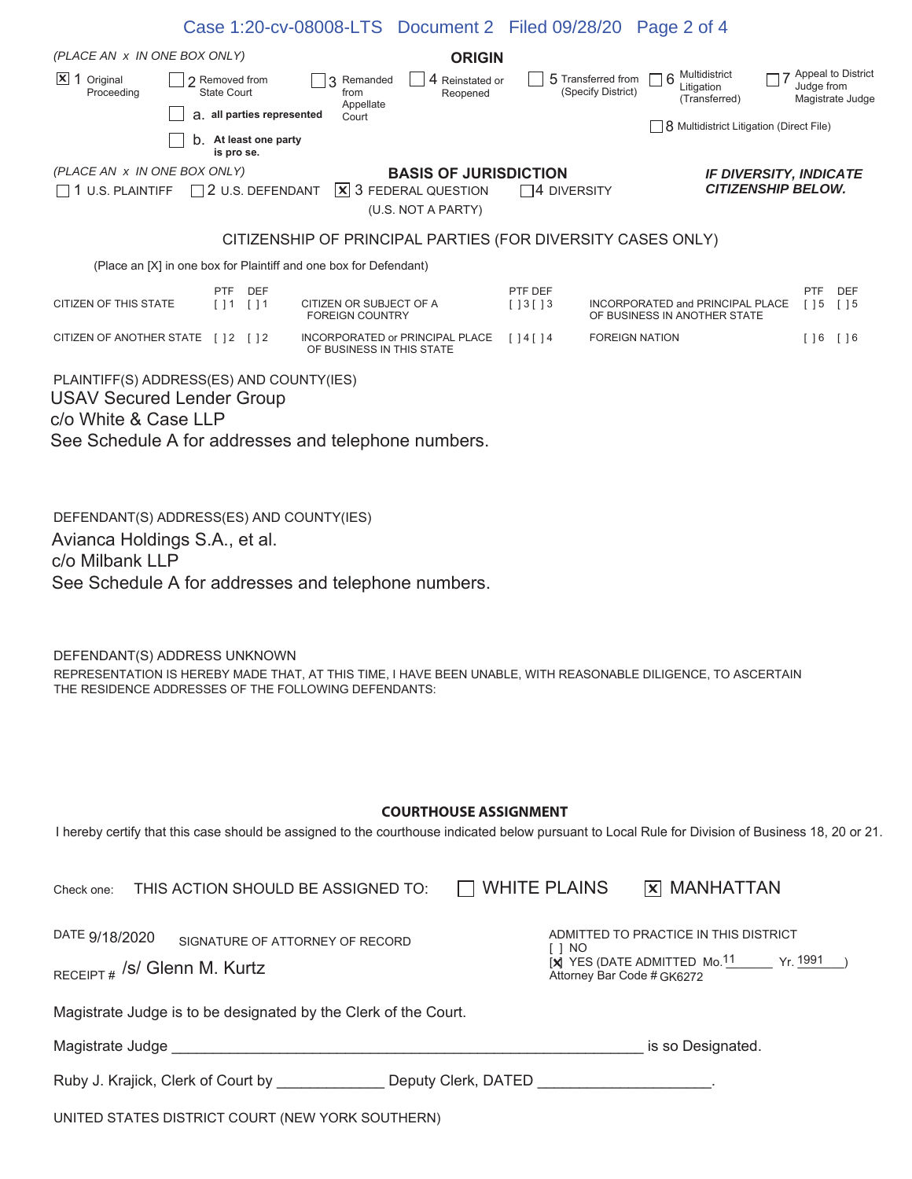|                                                                                                                                                                                                                                                                                 |                                            | Case 1:20-cv-08008-LTS Document 2 Filed 09/28/20 Page 2 of 4 |                                                                                   |                                            |                                          |                                                                                                                             |                                                            |
|---------------------------------------------------------------------------------------------------------------------------------------------------------------------------------------------------------------------------------------------------------------------------------|--------------------------------------------|--------------------------------------------------------------|-----------------------------------------------------------------------------------|--------------------------------------------|------------------------------------------|-----------------------------------------------------------------------------------------------------------------------------|------------------------------------------------------------|
| (PLACE AN x IN ONE BOX ONLY)                                                                                                                                                                                                                                                    |                                            |                                                              | <b>ORIGIN</b>                                                                     |                                            |                                          |                                                                                                                             |                                                            |
| $\vert$ <b>X</b> 1 Original<br>Proceeding                                                                                                                                                                                                                                       | 2 Removed from<br>State Court              | Remanded<br>from<br>Appellate                                | 4<br>Reinstated or<br>Reopened                                                    |                                            | 5 Transferred from<br>(Specify District) | Multidistrict<br>6<br>Litigation<br>(Transferred)                                                                           | Appeal to District<br>Judge from<br>Magistrate Judge       |
|                                                                                                                                                                                                                                                                                 | a. all parties represented                 | Court                                                        |                                                                                   |                                            |                                          | 8 Multidistrict Litigation (Direct File)                                                                                    |                                                            |
|                                                                                                                                                                                                                                                                                 | <b>D.</b> At least one party<br>is pro se. |                                                              |                                                                                   |                                            |                                          |                                                                                                                             |                                                            |
| (PLACE AN x IN ONE BOX ONLY)<br>$\Box$ 1 U.S. PLAINTIFF $\Box$ 2 U.S. DEFENDANT                                                                                                                                                                                                 |                                            |                                                              | <b>BASIS OF JURISDICTION</b><br><b>X</b> 3 FEDERAL QUESTION<br>(U.S. NOT A PARTY) | $\Box$ 4 DIVERSITY                         |                                          |                                                                                                                             | <b>IF DIVERSITY, INDICATE</b><br><b>CITIZENSHIP BELOW.</b> |
|                                                                                                                                                                                                                                                                                 |                                            | CITIZENSHIP OF PRINCIPAL PARTIES (FOR DIVERSITY CASES ONLY)  |                                                                                   |                                            |                                          |                                                                                                                             |                                                            |
| (Place an [X] in one box for Plaintiff and one box for Defendant)                                                                                                                                                                                                               |                                            |                                                              |                                                                                   |                                            |                                          |                                                                                                                             |                                                            |
| <b>CITIZEN OF THIS STATE</b>                                                                                                                                                                                                                                                    | <b>PTF</b><br><b>DEF</b><br>[11<br>[] 1    | CITIZEN OR SUBJECT OF A<br><b>FOREIGN COUNTRY</b>            |                                                                                   | PTF DEF<br>$[ ] 3 [ ] 3$                   |                                          | INCORPORATED and PRINCIPAL PLACE<br>OF BUSINESS IN ANOTHER STATE                                                            | <b>PTF</b><br>DEF<br>$[ \ ] 5$<br>$[ \ ] 5$                |
| CITIZEN OF ANOTHER STATE [ ] 2 [ ] 2                                                                                                                                                                                                                                            |                                            | INCORPORATED or PRINCIPAL PLACE<br>OF BUSINESS IN THIS STATE |                                                                                   | $\begin{bmatrix} 1 & 4 & 14 \end{bmatrix}$ | <b>FOREIGN NATION</b>                    |                                                                                                                             | $[$ $]$ 6 $[$ $]$ 6                                        |
| PLAINTIFF(S) ADDRESS(ES) AND COUNTY(IES)<br><b>USAV Secured Lender Group</b><br>c/o White & Case LLP<br>See Schedule A for addresses and telephone numbers.<br>DEFENDANT(S) ADDRESS(ES) AND COUNTY(IES)<br>Avianca Holdings S.A., et al.                                        |                                            |                                                              |                                                                                   |                                            |                                          |                                                                                                                             |                                                            |
| c/o Milbank LLP<br>See Schedule A for addresses and telephone numbers.<br>DEFENDANT(S) ADDRESS UNKNOWN<br>REPRESENTATION IS HEREBY MADE THAT, AT THIS TIME, I HAVE BEEN UNABLE, WITH REASONABLE DILIGENCE, TO ASCERTAIN<br>THE RESIDENCE ADDRESSES OF THE FOLLOWING DEFENDANTS: |                                            |                                                              |                                                                                   |                                            |                                          |                                                                                                                             |                                                            |
| <b>COURTHOUSE ASSIGNMENT</b>                                                                                                                                                                                                                                                    |                                            |                                                              |                                                                                   |                                            |                                          |                                                                                                                             |                                                            |
| I hereby certify that this case should be assigned to the courthouse indicated below pursuant to Local Rule for Division of Business 18, 20 or 21.                                                                                                                              |                                            |                                                              |                                                                                   |                                            |                                          |                                                                                                                             |                                                            |
| Check one:                                                                                                                                                                                                                                                                      |                                            | THIS ACTION SHOULD BE ASSIGNED TO:                           |                                                                                   | <b>WHITE PLAINS</b>                        |                                          | <b>X MANHATTAN</b>                                                                                                          |                                                            |
| DATE 9/18/2020<br>RECEIPT # /S/ Glenn M. Kurtz                                                                                                                                                                                                                                  |                                            | SIGNATURE OF ATTORNEY OF RECORD                              |                                                                                   |                                            | Attorney Bar Code # GK6272               | ADMITTED TO PRACTICE IN THIS DISTRICT<br>$[\mathbf{X}]$ YES (DATE ADMITTED Mo. <sup>11</sup> Yr. $\frac{1991}{\mathcal{Y}}$ |                                                            |
| Magistrate Judge is to be designated by the Clerk of the Court.                                                                                                                                                                                                                 |                                            |                                                              |                                                                                   |                                            |                                          |                                                                                                                             |                                                            |

| Magistrate Judge | is so Designated. |
|------------------|-------------------|

| Ruby J. Krajick, Clerk of Court by | Deputy Clerk, DATED |  |
|------------------------------------|---------------------|--|
|                                    |                     |  |

| UNITED STATES DISTRICT COURT (NEW YORK SOUTHERN) |  |
|--------------------------------------------------|--|
|--------------------------------------------------|--|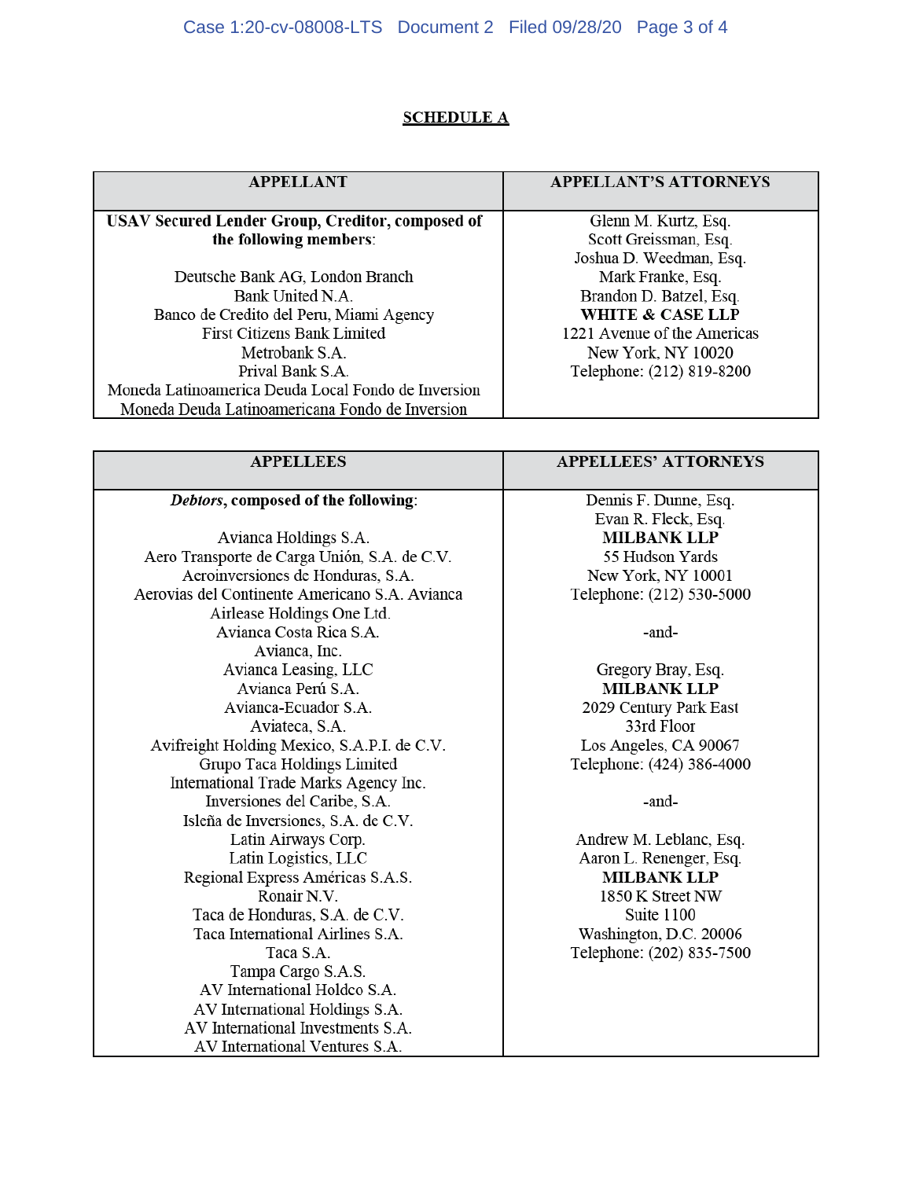## Case 1:20-cv-08008-LTS Document 2 Filed 09/28/20 Page 3 of 4

## **SCHEDULE A**

| <b>APPELLANT</b>                                        | <b>APPELLANT'S ATTORNEYS</b> |
|---------------------------------------------------------|------------------------------|
|                                                         |                              |
| <b>USAV Secured Lender Group, Creditor, composed of</b> | Glenn M. Kurtz, Esq.         |
| the following members:                                  | Scott Greissman, Esq.        |
|                                                         | Joshua D. Weedman, Esq.      |
| Deutsche Bank AG, London Branch                         | Mark Franke, Esq.            |
| Bank United N.A.                                        | Brandon D. Batzel, Esq.      |
| Banco de Credito del Peru, Miami Agency                 | <b>WHITE &amp; CASE LLP</b>  |
| <b>First Citizens Bank Limited</b>                      | 1221 Avenue of the Americas  |
| Metrobank S.A.                                          | New York, NY 10020           |
| Prival Bank S.A.                                        | Telephone: (212) 819-8200    |
| Moneda Latinoamerica Deuda Local Fondo de Inversion     |                              |
| Moneda Deuda Latinoamericana Fondo de Inversion         |                              |

| <b>APPELLEES</b>                               | <b>APPELLEES' ATTORNEYS</b> |
|------------------------------------------------|-----------------------------|
|                                                |                             |
| Debtors, composed of the following:            | Dennis F. Dunne, Esq.       |
|                                                | Evan R. Fleck, Esq.         |
| Avianca Holdings S.A.                          | <b>MILBANK LLP</b>          |
| Aero Transporte de Carga Unión, S.A. de C.V.   | 55 Hudson Yards             |
| Aeroinversiones de Honduras, S.A.              | New York, NY 10001          |
| Aerovias del Continente Americano S.A. Avianca | Telephone: (212) 530-5000   |
| Airlease Holdings One Ltd.                     |                             |
| Avianca Costa Rica S.A.                        | -and-                       |
| Avianca, Inc.                                  |                             |
| Avianca Leasing, LLC                           | Gregory Bray, Esq.          |
| Avianca Perú S.A.                              | <b>MILBANK LLP</b>          |
| Avianca-Ecuador S.A.                           | 2029 Century Park East      |
| Aviateca, S.A.                                 | 33rd Floor                  |
| Avifreight Holding Mexico, S.A.P.I. de C.V.    | Los Angeles, CA 90067       |
| Grupo Taca Holdings Limited                    | Telephone: (424) 386-4000   |
| International Trade Marks Agency Inc.          |                             |
| Inversiones del Caribe, S.A.                   | -and-                       |
| Isleña de Inversiones, S.A. de C.V.            |                             |
| Latin Airways Corp.                            | Andrew M. Leblanc, Esq.     |
| Latin Logistics, LLC                           | Aaron L. Renenger, Esq.     |
| Regional Express Américas S.A.S.               | <b>MILBANK LLP</b>          |
| Ronair N.V.                                    | 1850 K Street NW            |
| Taca de Honduras, S.A. de C.V.                 | Suite 1100                  |
| Taca International Airlines S.A.               | Washington, D.C. 20006      |
| Taca S.A.                                      | Telephone: (202) 835-7500   |
| Tampa Cargo S.A.S.                             |                             |
| AV International Holdco S.A.                   |                             |
| AV International Holdings S.A.                 |                             |
| AV International Investments S.A.              |                             |
| AV International Ventures S.A.                 |                             |